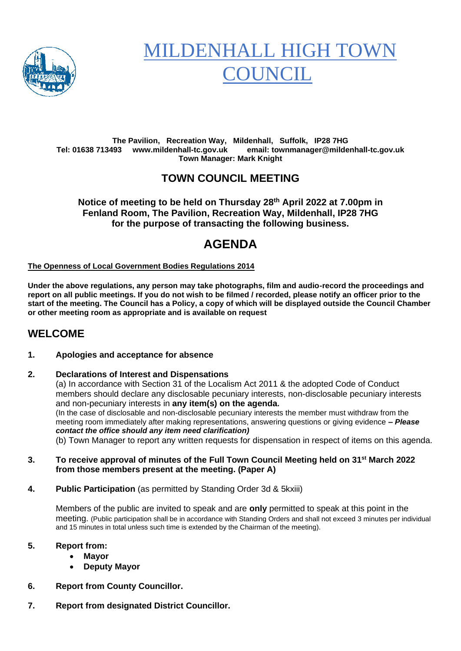

# MILDENHALL HIGH TOWN **COUNCIL**

#### **The Pavilion, Recreation Way, Mildenhall, Suffolk, IP28 7HG Tel: 01638 713493 www.mildenhall-tc.gov.uk email: townmanager@mildenhall-tc.gov.uk Town Manager: Mark Knight**

# **TOWN COUNCIL MEETING**

**Notice of meeting to be held on Thursday 28th April 2022 at 7.00pm in Fenland Room, The Pavilion, Recreation Way, Mildenhall, IP28 7HG for the purpose of transacting the following business.**

# **AGENDA**

#### **The Openness of Local Government Bodies Regulations 2014**

**Under the above regulations, any person may take photographs, film and audio-record the proceedings and report on all public meetings. If you do not wish to be filmed / recorded, please notify an officer prior to the start of the meeting. The Council has a Policy, a copy of which will be displayed outside the Council Chamber or other meeting room as appropriate and is available on request**

# **WELCOME**

#### **1. Apologies and acceptance for absence**

#### **2. Declarations of Interest and Dispensations**

(a) In accordance with Section 31 of the Localism Act 2011 & the adopted Code of Conduct members should declare any disclosable pecuniary interests, non-disclosable pecuniary interests and non-pecuniary interests in **any item(s) on the agenda.**

(In the case of disclosable and non-disclosable pecuniary interests the member must withdraw from the meeting room immediately after making representations, answering questions or giving evidence **–** *Please contact the office should any item need clarification)*

(b) Town Manager to report any written requests for dispensation in respect of items on this agenda.

#### **3. To receive approval of minutes of the Full Town Council Meeting held on 31 st March 2022 from those members present at the meeting. (Paper A)**

**4. Public Participation** (as permitted by Standing Order 3d & 5kxiii)

Members of the public are invited to speak and are **only** permitted to speak at this point in the meeting. (Public participation shall be in accordance with Standing Orders and shall not exceed 3 minutes per individual and 15 minutes in total unless such time is extended by the Chairman of the meeting).

#### **5. Report from:**

- **Mayor**
	- **Deputy Mayor**
- **6. Report from County Councillor.**
- **7. Report from designated District Councillor.**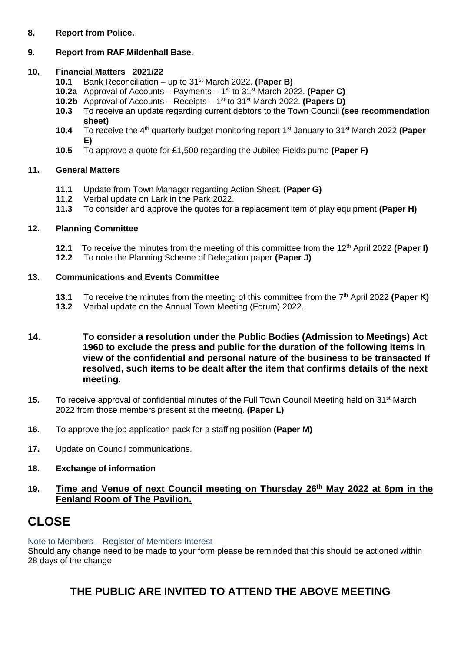#### **8. Report from Police.**

# **9. Report from RAF Mildenhall Base.**

### **10. Financial Matters 2021/22**

- **10.1** Bank Reconciliation up to 31st March 2022. **(Paper B)**
- **10.2a** Approval of Accounts Payments 1 st to 31st March 2022. **(Paper C)**
- **10.2b** Approval of Accounts Receipts 1 st to 31st March 2022. **(Papers D)**
- **10.3** To receive an update regarding current debtors to the Town Council **(see recommendation sheet)**
- **10.4** To receive the 4<sup>th</sup> quarterly budget monitoring report 1<sup>st</sup> January to 31<sup>st</sup> March 2022 (Paper **E)**
- **10.5** To approve a quote for £1,500 regarding the Jubilee Fields pump **(Paper F)**

# **11. General Matters**

- **11.1** Update from Town Manager regarding Action Sheet. **(Paper G)**
- **11.2** Verbal update on Lark in the Park 2022.
- **11.3** To consider and approve the quotes for a replacement item of play equipment **(Paper H)**

# **12. Planning Committee**

- **12.1** To receive the minutes from the meeting of this committee from the 12 th April 2022 **(Paper I)**
- **12.2** To note the Planning Scheme of Delegation paper **(Paper J)**

# **13. Communications and Events Committee**

- 13.1 To receive the minutes from the meeting of this committee from the 7<sup>th</sup> April 2022 **(Paper K)**
- **13.2** Verbal update on the Annual Town Meeting (Forum) 2022.
- **14. To consider a resolution under the Public Bodies (Admission to Meetings) Act 1960 to exclude the press and public for the duration of the following items in view of the confidential and personal nature of the business to be transacted If resolved, such items to be dealt after the item that confirms details of the next meeting.**
- 15. To receive approval of confidential minutes of the Full Town Council Meeting held on 31<sup>st</sup> March 2022 from those members present at the meeting. **(Paper L)**
- **16.** To approve the job application pack for a staffing position **(Paper M)**
- **17.** Update on Council communications.
- **18. Exchange of information**
- **19. Time and Venue of next Council meeting on Thursday 26 th May 2022 at 6pm in the Fenland Room of The Pavilion.**

# **CLOSE**

Note to Members – Register of Members Interest

Should any change need to be made to your form please be reminded that this should be actioned within 28 days of the change

# **THE PUBLIC ARE INVITED TO ATTEND THE ABOVE MEETING**